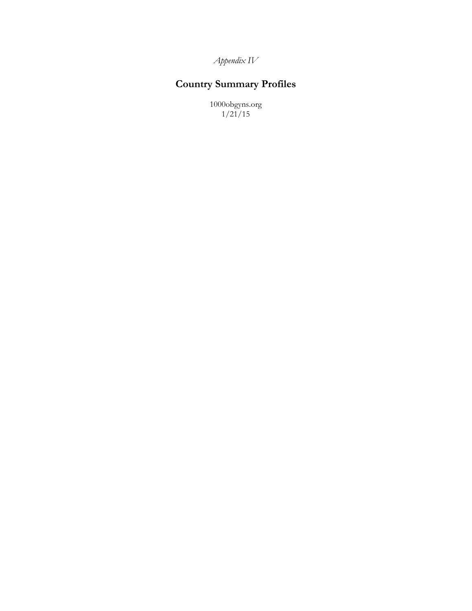*Appendix IV*

# **Country Summary Profiles**

1000obgyns.org 1/21/15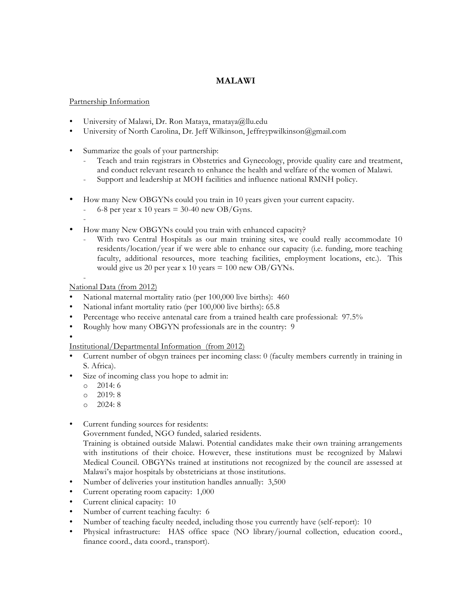## **MALAWI**

#### Partnership Information

- University of Malawi, Dr. Ron Mataya, rmataya@llu.edu
- University of North Carolina, Dr. Jeff Wilkinson, Jeffreypwilkinson@gmail.com
- Summarize the goals of your partnership:
	- Teach and train registrars in Obstetrics and Gynecology, provide quality care and treatment, and conduct relevant research to enhance the health and welfare of the women of Malawi.
	- Support and leadership at MOH facilities and influence national RMNH policy.
- How many New OBGYNs could you train in 10 years given your current capacity.
	- 6-8 per year x 10 years  $= 30-40$  new OB/Gyns.
	- -
	- How many New OBGYNs could you train with enhanced capacity?
		- With two Central Hospitals as our main training sites, we could really accommodate 10 residents/location/year if we were able to enhance our capacity (i.e. funding, more teaching faculty, additional resources, more teaching facilities, employment locations, etc.). This would give us 20 per year x 10 years  $= 100$  new OB/GYNs.

- National Data (from 2012)

- National maternal mortality ratio (per 100,000 live births): 460
- National infant mortality ratio (per 100,000 live births): 65.8
- Percentage who receive antenatal care from a trained health care professional: 97.5%
- Roughly how many OBGYN professionals are in the country: 9
- •

Institutional/Departmental Information (from 2012)

- Current number of obgyn trainees per incoming class: 0 (faculty members currently in training in S. Africa).
- Size of incoming class you hope to admit in:
	- o 2014: 6
	- o 2019: 8
	- o 2024: 8
- Current funding sources for residents:

Government funded, NGO funded, salaried residents.

Training is obtained outside Malawi. Potential candidates make their own training arrangements with institutions of their choice. However, these institutions must be recognized by Malawi Medical Council. OBGYNs trained at institutions not recognized by the council are assessed at Malawi's major hospitals by obstetricians at those institutions.

- Number of deliveries your institution handles annually: 3,500
- Current operating room capacity: 1,000
- Current clinical capacity: 10
- Number of current teaching faculty: 6
- Number of teaching faculty needed, including those you currently have (self-report): 10
- Physical infrastructure: HAS office space (NO library/journal collection, education coord., finance coord., data coord., transport).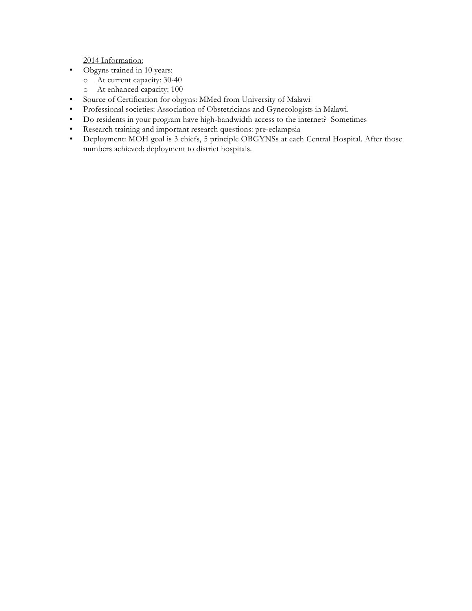- Obgyns trained in 10 years:
	- o At current capacity: 30-40
	- o At enhanced capacity: 100
- Source of Certification for obgyns: MMed from University of Malawi
- Professional societies: Association of Obstetricians and Gynecologists in Malawi.
- Do residents in your program have high-bandwidth access to the internet? Sometimes
- Research training and important research questions: pre-eclampsia
- Deployment: MOH goal is 3 chiefs, 5 principle OBGYNSs at each Central Hospital. After those numbers achieved; deployment to district hospitals.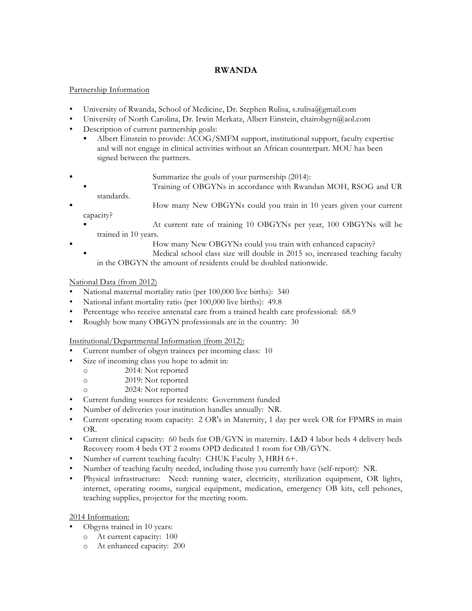## **RWANDA**

### Partnership Information

- University of Rwanda, School of Medicine, Dr. Stephen Rulisa, s.rulisa@gmail.com
- University of North Carolina, Dr. Irwin Merkatz, Albert Einstein, chairobgyn@aol.com
- Description of current partnership goals:
	- ! Albert Einstein to provide: ACOG/SMFM support, institutional support, faculty expertise and will not engage in clinical activities without an African counterpart. MOU has been signed between the partners.
- ! Summarize the goals of your partnership (2014):
	- ! Training of OBGYNs in accordance with Rwandan MOH, RSOG and UR standards.
- ! How many New OBGYNs could you train in 10 years given your current capacity?
	- ! At current rate of training 10 OBGYNs per year, 100 OBGYNs will be trained in 10 years.
		- How many New OBGYNs could you train with enhanced capacity?
		- ! Medical school class size will double in 2015 so, increased teaching faculty in the OBGYN the amount of residents could be doubled nationwide.

# National Data (from 2012)

- National maternal mortality ratio (per 100,000 live births): 340
- National infant mortality ratio (per 100,000 live births): 49.8
- Percentage who receive antenatal care from a trained health care professional: 68.9
- Roughly how many OBGYN professionals are in the country: 30

Institutional/Departmental Information (from 2012):

- Current number of obgyn trainees per incoming class: 10
- Size of incoming class you hope to admit in:
	- o 2014: Not reported
	- o 2019: Not reported
	- o 2024: Not reported
- Current funding sources for residents: Government funded
- Number of deliveries your institution handles annually: NR.
- Current operating room capacity: 2 OR's in Maternity, 1 day per week OR for FPMRS in main OR.
- Current clinical capacity: 60 beds for OB/GYN in maternity. L&D 4 labor beds 4 delivery beds Recovery room 4 beds OT 2 rooms OPD dedicated 1 room for OB/GYN.
- Number of current teaching faculty: CHUK Faculty 3, HRH 6+.
- Number of teaching faculty needed, including those you currently have (self-report): NR.
- Physical infrastructure: Need: running water, electricity, sterilization equipment, OR lights, internet, operating rooms, surgical equipment, medication, emergency OB kits, cell pehones, teaching supplies, projector for the meeting room.

- Obgyns trained in 10 years:
	- o At current capacity: 100
	- o At enhanced capacity: 200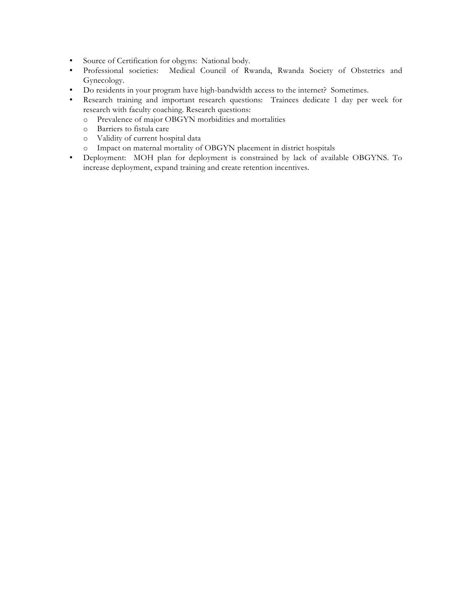- Source of Certification for obgyns: National body.
- Professional societies: Medical Council of Rwanda, Rwanda Society of Obstetrics and Gynecology.
- Do residents in your program have high-bandwidth access to the internet? Sometimes.
- Research training and important research questions: Trainees dedicate 1 day per week for research with faculty coaching. Research questions:
	- o Prevalence of major OBGYN morbidities and mortalities
	- o Barriers to fistula care
	- o Validity of current hospital data
	- o Impact on maternal mortality of OBGYN placement in district hospitals
- Deployment: MOH plan for deployment is constrained by lack of available OBGYNS. To increase deployment, expand training and create retention incentives.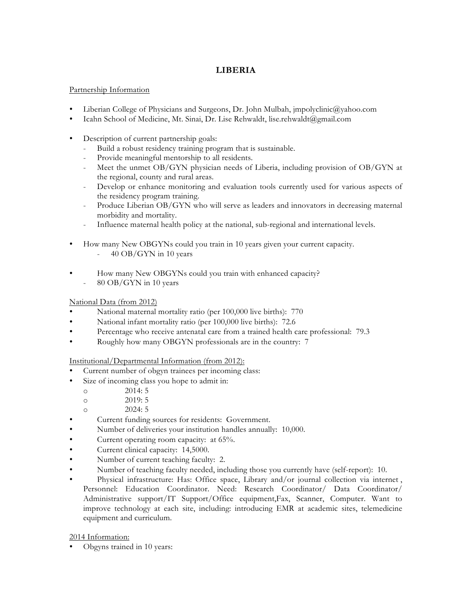## **LIBERIA**

#### Partnership Information

- Liberian College of Physicians and Surgeons, Dr. John Mulbah, jmpolyclinic@yahoo.com
- Icahn School of Medicine, Mt. Sinai, Dr. Lise Rehwaldt, lise.rehwaldt@gmail.com
- Description of current partnership goals:
	- Build a robust residency training program that is sustainable.
	- Provide meaningful mentorship to all residents.
	- Meet the unmet OB/GYN physician needs of Liberia, including provision of OB/GYN at the regional, county and rural areas.
	- Develop or enhance monitoring and evaluation tools currently used for various aspects of the residency program training.
	- Produce Liberian OB/GYN who will serve as leaders and innovators in decreasing maternal morbidity and mortality.
	- Influence maternal health policy at the national, sub-regional and international levels.
- How many New OBGYNs could you train in 10 years given your current capacity. - 40 OB/GYN in 10 years
- How many New OBGYNs could you train with enhanced capacity?
	- 80 OB/GYN in 10 years

### National Data (from 2012)

- National maternal mortality ratio (per 100,000 live births): 770
- National infant mortality ratio (per 100,000 live births): 72.6
- Percentage who receive antenatal care from a trained health care professional: 79.3
- Roughly how many OBGYN professionals are in the country: 7

Institutional/Departmental Information (from 2012):

- Current number of obgyn trainees per incoming class:
- Size of incoming class you hope to admit in:
	- o 2014: 5
	- o 2019: 5
	- o 2024: 5
- Current funding sources for residents: Government.
- Number of deliveries your institution handles annually: 10,000.
- Current operating room capacity: at 65%.
- Current clinical capacity: 14,5000.
- Number of current teaching faculty: 2.
- Number of teaching faculty needed, including those you currently have (self-report): 10.
- Physical infrastructure: Has: Office space, Library and/or journal collection via internet, Personnel: Education Coordinator. Need: Research Coordinator/ Data Coordinator/ Administrative support/IT Support/Office equipment,Fax, Scanner, Computer. Want to improve technology at each site, including: introducing EMR at academic sites, telemedicine equipment and curriculum.

2014 Information:

• Obgyns trained in 10 years: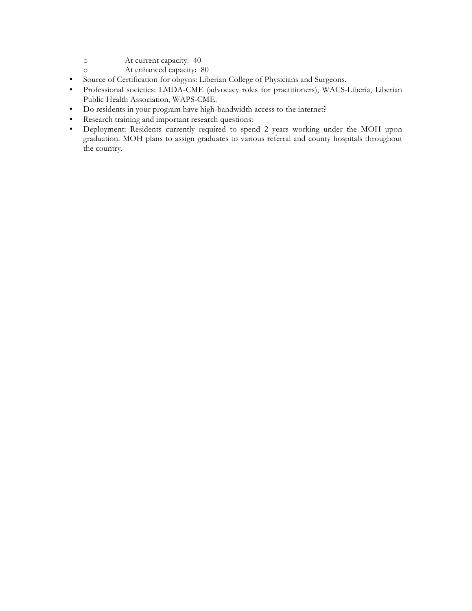- o At current capacity: 40
- o At enhanced capacity: 80
- Source of Certification for obgyns: Liberian College of Physicians and Surgeons.
- Professional societies: LMDA-CME (advocacy roles for practitioners), WACS-Liberia, Liberian Public Health Association, WAPS-CME.
- Do residents in your program have high-bandwidth access to the internet?
- Research training and important research questions:
- Deployment: Residents currently required to spend 2 years working under the MOH upon graduation. MOH plans to assign graduates to various referral and county hospitals throughout the country.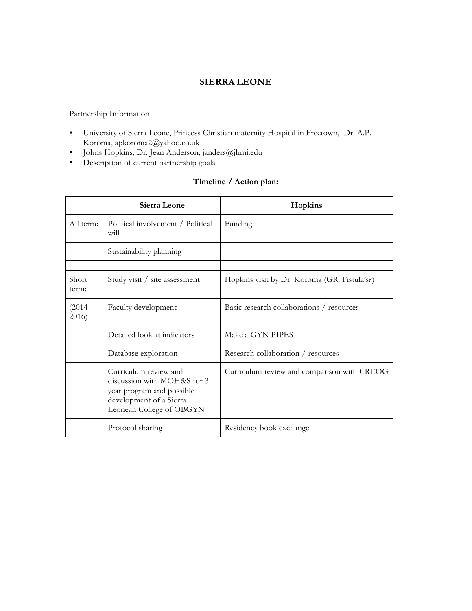## **SIERRA LEONE**

#### Partnership Information

- University of Sierra Leone, Princess Christian maternity Hospital in Freetown, Dr. A.P. Koroma, apkoroma2@yahoo.co.uk
- Johns Hopkins, Dr. Jean Anderson, janders@jhmi.edu
- Description of current partnership goals:

## **Timeline / Action plan:**

|                    | Sierra Leone                                                                                                                             | Hopkins                                      |
|--------------------|------------------------------------------------------------------------------------------------------------------------------------------|----------------------------------------------|
| All term:          | Political involvement / Political<br>will                                                                                                | Funding                                      |
|                    | Sustainability planning                                                                                                                  |                                              |
|                    |                                                                                                                                          |                                              |
| Short<br>term:     | Study visit / site assessment                                                                                                            | Hopkins visit by Dr. Koroma (GR: Fistula's?) |
| $(2014 -$<br>2016) | Faculty development                                                                                                                      | Basic research collaborations / resources    |
|                    | Detailed look at indicators                                                                                                              | Make a GYN PIPES                             |
|                    | Database exploration                                                                                                                     | Research collaboration / resources           |
|                    | Curriculum review and<br>discussion with MOH&S for 3<br>year program and possible<br>development of a Sierra<br>Leonean College of OBGYN | Curriculum review and comparison with CREOG  |
|                    | Protocol sharing                                                                                                                         | Residency book exchange                      |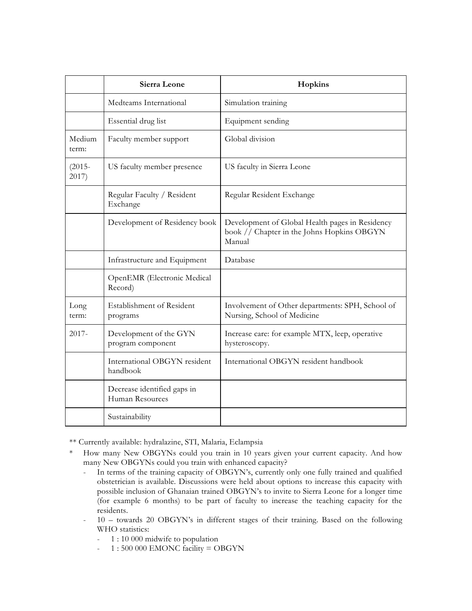|                    | Sierra Leone                                   | Hopkins                                                                                                 |
|--------------------|------------------------------------------------|---------------------------------------------------------------------------------------------------------|
|                    | Medteams International                         | Simulation training                                                                                     |
|                    | Essential drug list                            | Equipment sending                                                                                       |
| Medium<br>term:    | Faculty member support                         | Global division                                                                                         |
| $(2015 -$<br>2017) | US faculty member presence                     | US faculty in Sierra Leone                                                                              |
|                    | Regular Faculty / Resident<br>Exchange         | Regular Resident Exchange                                                                               |
|                    | Development of Residency book                  | Development of Global Health pages in Residency<br>book // Chapter in the Johns Hopkins OBGYN<br>Manual |
|                    | Infrastructure and Equipment                   | Database                                                                                                |
|                    | OpenEMR (Electronic Medical<br>Record)         |                                                                                                         |
| Long<br>term:      | Establishment of Resident<br>programs          | Involvement of Other departments: SPH, School of<br>Nursing, School of Medicine                         |
| $2017 -$           | Development of the GYN<br>program component    | Increase care: for example MTX, leep, operative<br>hysteroscopy.                                        |
|                    | International OBGYN resident<br>handbook       | International OBGYN resident handbook                                                                   |
|                    | Decrease identified gaps in<br>Human Resources |                                                                                                         |
|                    | Sustainability                                 |                                                                                                         |

\*\* Currently available: hydralazine, STI, Malaria, Eclampsia

- \* How many New OBGYNs could you train in 10 years given your current capacity. And how many New OBGYNs could you train with enhanced capacity?
	- In terms of the training capacity of OBGYN's, currently only one fully trained and qualified obstetrician is available. Discussions were held about options to increase this capacity with possible inclusion of Ghanaian trained OBGYN's to invite to Sierra Leone for a longer time (for example 6 months) to be part of faculty to increase the teaching capacity for the residents.
	- 10 towards 20 OBGYN's in different stages of their training. Based on the following WHO statistics:
		- 1 : 10 000 midwife to population
		- $-1:500000$  EMONC facility = OBGYN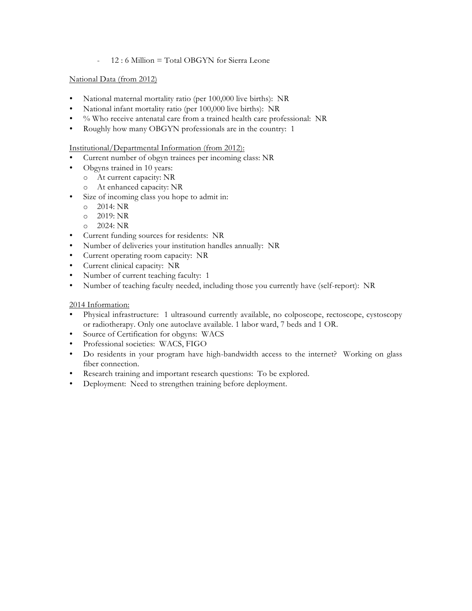- 12 : 6 Million = Total OBGYN for Sierra Leone

#### National Data (from 2012)

- National maternal mortality ratio (per 100,000 live births): NR
- National infant mortality ratio (per 100,000 live births): NR
- % Who receive antenatal care from a trained health care professional: NR
- Roughly how many OBGYN professionals are in the country: 1

#### Institutional/Departmental Information (from 2012):

- Current number of obgyn trainees per incoming class: NR
- Obgyns trained in 10 years:
	- o At current capacity: NR
	- o At enhanced capacity: NR
- Size of incoming class you hope to admit in:
	- o 2014: NR
	- o 2019: NR
	- o 2024: NR
- Current funding sources for residents: NR
- Number of deliveries your institution handles annually: NR
- Current operating room capacity: NR
- Current clinical capacity: NR
- Number of current teaching faculty: 1
- Number of teaching faculty needed, including those you currently have (self-report): NR

- Physical infrastructure: 1 ultrasound currently available, no colposcope, rectoscope, cystoscopy or radiotherapy. Only one autoclave available. 1 labor ward, 7 beds and 1 OR.
- Source of Certification for obgyns: WACS
- Professional societies: WACS, FIGO
- Do residents in your program have high-bandwidth access to the internet? Working on glass fiber connection.
- Research training and important research questions: To be explored.
- Deployment: Need to strengthen training before deployment.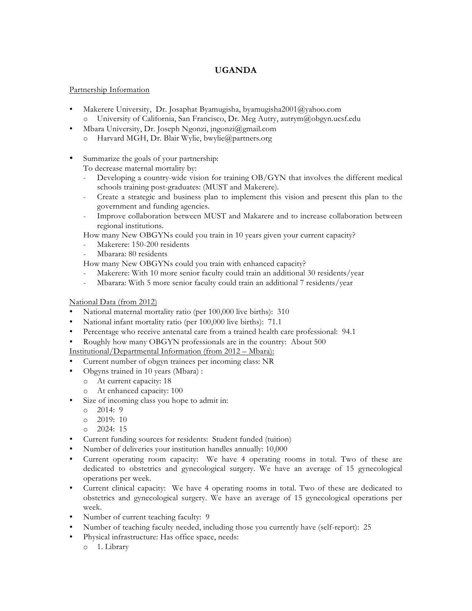## **UGANDA**

#### Partnership Information

- Makerere University, Dr. Josaphat Byamugisha, byamugisha2001@yahoo.com o University of California, San Francisco, Dr. Meg Autry, autrym@obgyn.ucsf.edu
- Mbara University, Dr. Joseph Ngonzi, jngonzi@gmail.com
	- o Harvard MGH, Dr. Blair Wylie, bwylie@partners.org
- Summarize the goals of your partnership:

To decrease maternal mortality by:

- Developing a country-wide vision for training OB/GYN that involves the different medical schools training post-graduates: (MUST and Makerere).
- Create a strategic and business plan to implement this vision and present this plan to the government and funding agencies.
- Improve collaboration between MUST and Makarere and to increase collaboration between regional institutions.

How many New OBGYNs could you train in 10 years given your current capacity?

- Makerere: 150-200 residents
- Mbarara: 80 residents

How many New OBGYNs could you train with enhanced capacity?

- Makerere: With 10 more senior faculty could train an additional 30 residents/year
- Mbarara: With 5 more senior faculty could train an additional 7 residents/year

#### National Data (from 2012)

- National maternal mortality ratio (per 100,000 live births): 310
- National infant mortality ratio (per 100,000 live births): 71.1
- Percentage who receive antenatal care from a trained health care professional: 94.1
- Roughly how many OBGYN professionals are in the country: About 500

Institutional/Departmental Information (from 2012 – Mbara):

- Current number of obgyn trainees per incoming class: NR
- Obgyns trained in 10 years (Mbara) :
	- o At current capacity: 18
	- o At enhanced capacity: 100
- Size of incoming class you hope to admit in:
	- o 2014: 9
	- o 2019: 10
	- o 2024: 15
- Current funding sources for residents: Student funded (tuition)
- Number of deliveries your institution handles annually: 10,000
- Current operating room capacity: We have 4 operating rooms in total. Two of these are dedicated to obstetrics and gynecological surgery. We have an average of 15 gynecological operations per week.
- Current clinical capacity: We have 4 operating rooms in total. Two of these are dedicated to obstetrics and gynecological surgery. We have an average of 15 gynecological operations per week.
- Number of current teaching faculty: 9
- Number of teaching faculty needed, including those you currently have (self-report): 25
- Physical infrastructure: Has office space, needs:
	- o 1. Library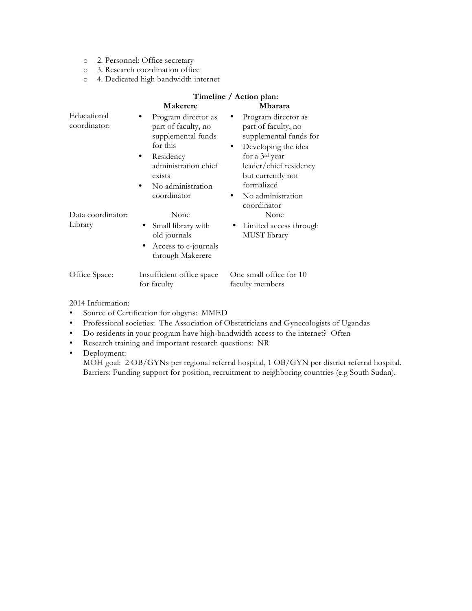- o 2. Personnel: Office secretary
- o 3. Research coordination office
- o 4. Dedicated high bandwidth internet

|                             | Timeline / Action plan:                                                                                                                                              |                                                                                                                                                                                                              |  |
|-----------------------------|----------------------------------------------------------------------------------------------------------------------------------------------------------------------|--------------------------------------------------------------------------------------------------------------------------------------------------------------------------------------------------------------|--|
|                             | Makerere                                                                                                                                                             | Mbarara                                                                                                                                                                                                      |  |
| Educational<br>coordinator: | Program director as<br>part of faculty, no<br>supplemental funds<br>for this<br>Residency<br>٠<br>administration chief<br>exists<br>No administration<br>coordinator | Program director as<br>part of faculty, no<br>supplemental funds for<br>Developing the idea<br>$\bullet$<br>for a 3rd year<br>leader/chief residency<br>but currently not<br>formalized<br>No administration |  |
| Data coordinator:           | None                                                                                                                                                                 | coordinator<br>None                                                                                                                                                                                          |  |
| Library                     | Small library with<br>old journals                                                                                                                                   | • Limited access through<br>MUST library                                                                                                                                                                     |  |
|                             | Access to e-journals<br>through Makerere                                                                                                                             |                                                                                                                                                                                                              |  |
| Office Space:               | Insufficient office space<br>for faculty                                                                                                                             | One small office for 10<br>faculty members                                                                                                                                                                   |  |

- Source of Certification for obgyns: MMED
- Professional societies: The Association of Obstetricians and Gynecologists of Ugandas
- Do residents in your program have high-bandwidth access to the internet? Often
- Research training and important research questions: NR
- Deployment:

MOH goal: 2 OB/GYNs per regional referral hospital, 1 OB/GYN per district referral hospital. Barriers: Funding support for position, recruitment to neighboring countries (e.g South Sudan).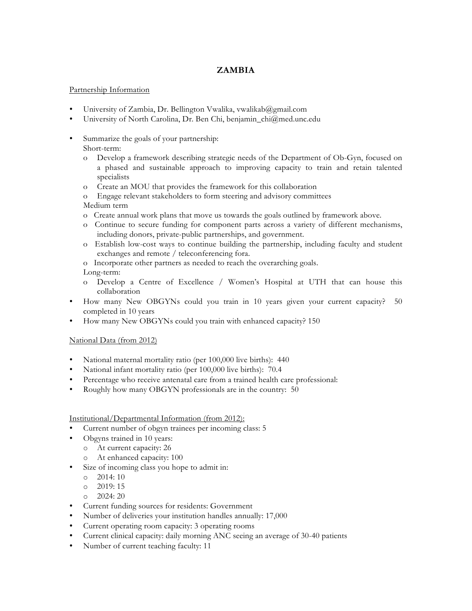## **ZAMBIA**

#### Partnership Information

- University of Zambia, Dr. Bellington Vwalika, vwalikab@gmail.com
- University of North Carolina, Dr. Ben Chi, benjamin\_chi@med.unc.edu
- Summarize the goals of your partnership: Short-term:
	- o Develop a framework describing strategic needs of the Department of Ob-Gyn, focused on a phased and sustainable approach to improving capacity to train and retain talented specialists
	- o Create an MOU that provides the framework for this collaboration
	- o Engage relevant stakeholders to form steering and advisory committees Medium term
	- o Create annual work plans that move us towards the goals outlined by framework above.
	- o Continue to secure funding for component parts across a variety of different mechanisms, including donors, private-public partnerships, and government.
	- o Establish low-cost ways to continue building the partnership, including faculty and student exchanges and remote / teleconferencing fora.
	- o Incorporate other partners as needed to reach the overarching goals. Long-term:
	- o Develop a Centre of Excellence / Women's Hospital at UTH that can house this collaboration
- How many New OBGYNs could you train in 10 years given your current capacity? 50 completed in 10 years
- How many New OBGYNs could you train with enhanced capacity? 150

#### National Data (from 2012)

- National maternal mortality ratio (per 100,000 live births): 440
- National infant mortality ratio (per 100,000 live births): 70.4
- Percentage who receive antenatal care from a trained health care professional:
- Roughly how many OBGYN professionals are in the country: 50

#### Institutional/Departmental Information (from 2012):

- Current number of obgyn trainees per incoming class: 5
	- Obgyns trained in 10 years:
		- o At current capacity: 26
		- o At enhanced capacity: 100
- Size of incoming class you hope to admit in:
	- $O = 2014:10$
	- o 2019: 15
	- o 2024: 20
- Current funding sources for residents: Government
- Number of deliveries your institution handles annually: 17,000
- Current operating room capacity: 3 operating rooms
- Current clinical capacity: daily morning ANC seeing an average of 30-40 patients
- Number of current teaching faculty: 11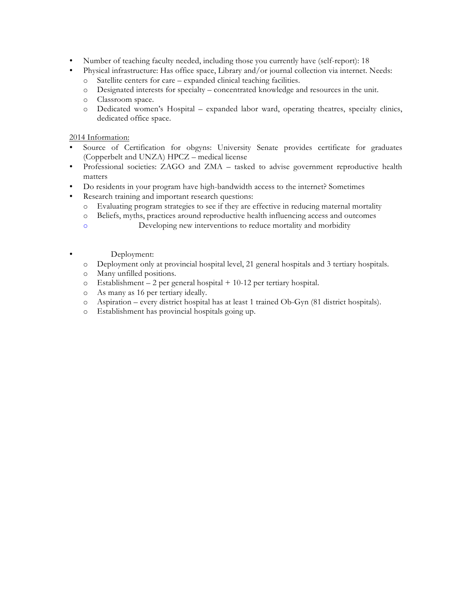- Number of teaching faculty needed, including those you currently have (self-report): 18
- Physical infrastructure: Has office space, Library and/or journal collection via internet. Needs:
	- o Satellite centers for care expanded clinical teaching facilities.
	- o Designated interests for specialty concentrated knowledge and resources in the unit.
	- o Classroom space.
	- o Dedicated women's Hospital expanded labor ward, operating theatres, specialty clinics, dedicated office space.

- Source of Certification for obgyns: University Senate provides certificate for graduates (Copperbelt and UNZA) HPCZ – medical license
- Professional societies: ZAGO and ZMA tasked to advise government reproductive health matters
- Do residents in your program have high-bandwidth access to the internet? Sometimes
- Research training and important research questions:
	- o Evaluating program strategies to see if they are effective in reducing maternal mortality
	- o Beliefs, myths, practices around reproductive health influencing access and outcomes
	- o Developing new interventions to reduce mortality and morbidity
	- Deployment:
	- o Deployment only at provincial hospital level, 21 general hospitals and 3 tertiary hospitals.
	- o Many unfilled positions.
	- o Establishment 2 per general hospital + 10-12 per tertiary hospital.
	- o As many as 16 per tertiary ideally.
	- o Aspiration every district hospital has at least 1 trained Ob-Gyn (81 district hospitals).
	- o Establishment has provincial hospitals going up.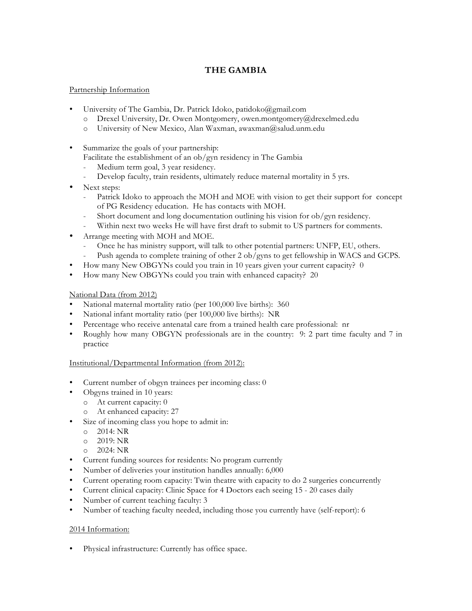# **THE GAMBIA**

### Partnership Information

- University of The Gambia, Dr. Patrick Idoko, patidoko@gmail.com
	- o Drexel University, Dr. Owen Montgomery, owen.montgomery@drexelmed.edu
	- o University of New Mexico, Alan Waxman, awaxman@salud.unm.edu
- Summarize the goals of your partnership:
	- Facilitate the establishment of an ob/gyn residency in The Gambia
	- Medium term goal, 3 year residency.
	- Develop faculty, train residents, ultimately reduce maternal mortality in 5 yrs.
- Next steps:
	- Patrick Idoko to approach the MOH and MOE with vision to get their support for concept of PG Residency education. He has contacts with MOH.
	- Short document and long documentation outlining his vision for ob/gyn residency.
	- Within next two weeks He will have first draft to submit to US partners for comments.
- Arrange meeting with MOH and MOE.
	- Once he has ministry support, will talk to other potential partners: UNFP, EU, others.
	- Push agenda to complete training of other 2 ob/gyns to get fellowship in WACS and GCPS.
- How many New OBGYNs could you train in 10 years given your current capacity? 0
- How many New OBGYNs could you train with enhanced capacity? 20

#### National Data (from 2012)

- National maternal mortality ratio (per 100,000 live births): 360
- National infant mortality ratio (per 100,000 live births): NR
- Percentage who receive antenatal care from a trained health care professional: nr
- Roughly how many OBGYN professionals are in the country: 9: 2 part time faculty and 7 in practice

#### Institutional/Departmental Information (from 2012):

- Current number of obgyn trainees per incoming class: 0
	- Obgyns trained in 10 years:
	- o At current capacity: 0
	- o At enhanced capacity: 27
- Size of incoming class you hope to admit in:
	- o 2014: NR
	- o 2019: NR
	- o 2024: NR
- Current funding sources for residents: No program currently
- Number of deliveries your institution handles annually: 6,000
- Current operating room capacity: Twin theatre with capacity to do 2 surgeries concurrently
- Current clinical capacity: Clinic Space for 4 Doctors each seeing 15 20 cases daily
- Number of current teaching faculty: 3
- Number of teaching faculty needed, including those you currently have (self-report): 6

#### 2014 Information:

Physical infrastructure: Currently has office space.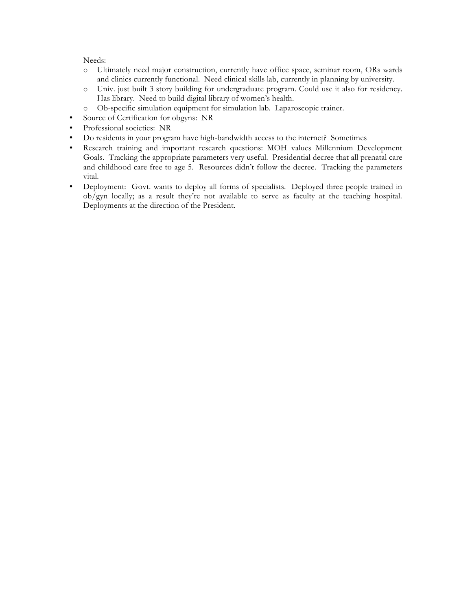Needs:

- o Ultimately need major construction, currently have office space, seminar room, ORs wards and clinics currently functional. Need clinical skills lab, currently in planning by university.
- o Univ. just built 3 story building for undergraduate program. Could use it also for residency. Has library. Need to build digital library of women's health.
- o Ob-specific simulation equipment for simulation lab. Laparoscopic trainer.
- Source of Certification for obgyns: NR
- Professional societies: NR
- Do residents in your program have high-bandwidth access to the internet? Sometimes
- Research training and important research questions: MOH values Millennium Development Goals. Tracking the appropriate parameters very useful. Presidential decree that all prenatal care and childhood care free to age 5. Resources didn't follow the decree. Tracking the parameters vital.
- Deployment: Govt. wants to deploy all forms of specialists. Deployed three people trained in ob/gyn locally; as a result they're not available to serve as faculty at the teaching hospital. Deployments at the direction of the President.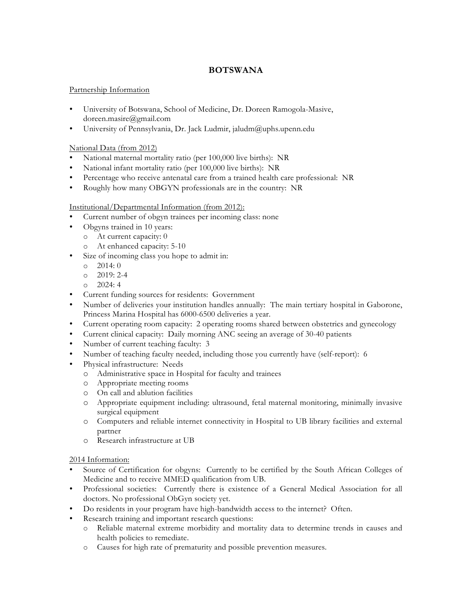## **BOTSWANA**

#### Partnership Information

- University of Botswana, School of Medicine, Dr. Doreen Ramogola-Masive, doreen.masire@gmail.com
- University of Pennsylvania, Dr. Jack Ludmir, jaludm@uphs.upenn.edu

#### National Data (from 2012)

- National maternal mortality ratio (per 100,000 live births): NR
- National infant mortality ratio (per 100,000 live births): NR
- Percentage who receive antenatal care from a trained health care professional: NR
- Roughly how many OBGYN professionals are in the country: NR

### Institutional/Departmental Information (from 2012):

- Current number of obgyn trainees per incoming class: none
	- Obgyns trained in 10 years:
	- o At current capacity: 0
		- o At enhanced capacity: 5-10
- Size of incoming class you hope to admit in:
	- $O = 2014:0$
	- $O = 2019: 2-4$
	- $024:4$
- Current funding sources for residents: Government
- Number of deliveries your institution handles annually: The main tertiary hospital in Gaborone, Princess Marina Hospital has 6000-6500 deliveries a year.
- Current operating room capacity: 2 operating rooms shared between obstetrics and gynecology
- Current clinical capacity: Daily morning ANC seeing an average of 30-40 patients
- Number of current teaching faculty: 3
- Number of teaching faculty needed, including those you currently have (self-report): 6
- Physical infrastructure: Needs
	- o Administrative space in Hospital for faculty and trainees
	- o Appropriate meeting rooms
	- o On call and ablution facilities
	- o Appropriate equipment including: ultrasound, fetal maternal monitoring, minimally invasive surgical equipment
	- o Computers and reliable internet connectivity in Hospital to UB library facilities and external partner
	- o Research infrastructure at UB

- Source of Certification for obgyns: Currently to be certified by the South African Colleges of Medicine and to receive MMED qualification from UB.
- Professional societies: Currently there is existence of a General Medical Association for all doctors. No professional ObGyn society yet.
- Do residents in your program have high-bandwidth access to the internet? Often.
- Research training and important research questions:
	- o Reliable maternal extreme morbidity and mortality data to determine trends in causes and health policies to remediate.
	- o Causes for high rate of prematurity and possible prevention measures.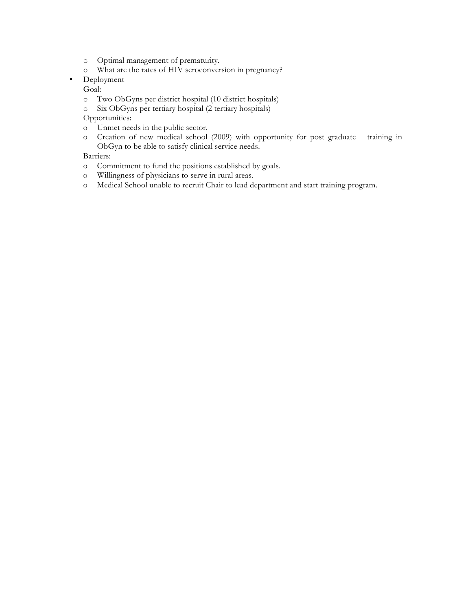- o Optimal management of prematurity.
- o What are the rates of HIV seroconversion in pregnancy?
- Deployment

Goal:

- o Two ObGyns per district hospital (10 district hospitals)
- o Six ObGyns per tertiary hospital (2 tertiary hospitals)

Opportunities:

- o Unmet needs in the public sector.
- o Creation of new medical school (2009) with opportunity for post graduate training in ObGyn to be able to satisfy clinical service needs.

Barriers:

- o Commitment to fund the positions established by goals.
- o Willingness of physicians to serve in rural areas.
- o Medical School unable to recruit Chair to lead department and start training program.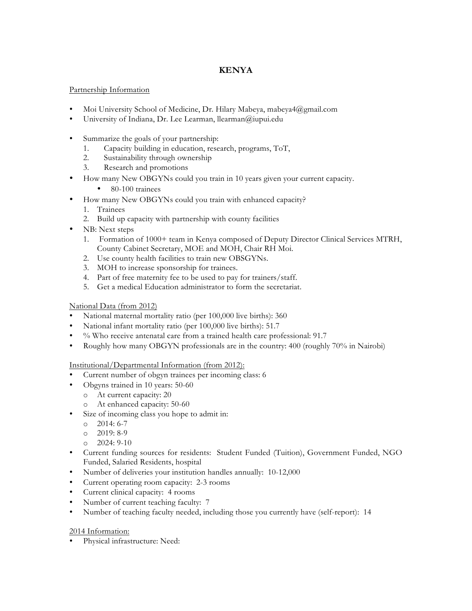# **KENYA**

## Partnership Information

- Moi University School of Medicine, Dr. Hilary Mabeya, mabeya4@gmail.com
- University of Indiana, Dr. Lee Learman, llearman@iupui.edu
- Summarize the goals of your partnership:
	- 1. Capacity building in education, research, programs, ToT,
	- 2. Sustainability through ownership
	- 3. Research and promotions
- How many New OBGYNs could you train in 10 years given your current capacity.
	- 80-100 trainees
- How many New OBGYNs could you train with enhanced capacity?
	- 1. Trainees
	- 2. Build up capacity with partnership with county facilities
- NB: Next steps
	- 1. Formation of 1000+ team in Kenya composed of Deputy Director Clinical Services MTRH, County Cabinet Secretary, MOE and MOH, Chair RH Moi.
	- 2. Use county health facilities to train new OBSGYNs.
	- 3. MOH to increase sponsorship for trainees.
	- 4. Part of free maternity fee to be used to pay for trainers/staff.
	- 5. Get a medical Education administrator to form the secretariat.

#### National Data (from 2012)

- National maternal mortality ratio (per 100,000 live births): 360
- National infant mortality ratio (per 100,000 live births): 51.7
- % Who receive antenatal care from a trained health care professional: 91.7
- Roughly how many OBGYN professionals are in the country: 400 (roughly 70% in Nairobi)

Institutional/Departmental Information (from 2012):

- Current number of obgyn trainees per incoming class: 6
- Obgyns trained in 10 years: 50-60
	- o At current capacity: 20
	- o At enhanced capacity: 50-60
- Size of incoming class you hope to admit in:
	- o 2014: 6-7
	- o 2019: 8-9
	- o 2024: 9-10
- Current funding sources for residents: Student Funded (Tuition), Government Funded, NGO Funded, Salaried Residents, hospital
- Number of deliveries your institution handles annually: 10-12,000
- Current operating room capacity: 2-3 rooms
- Current clinical capacity: 4 rooms
- Number of current teaching faculty: 7
- Number of teaching faculty needed, including those you currently have (self-report): 14

#### 2014 Information:

• Physical infrastructure: Need: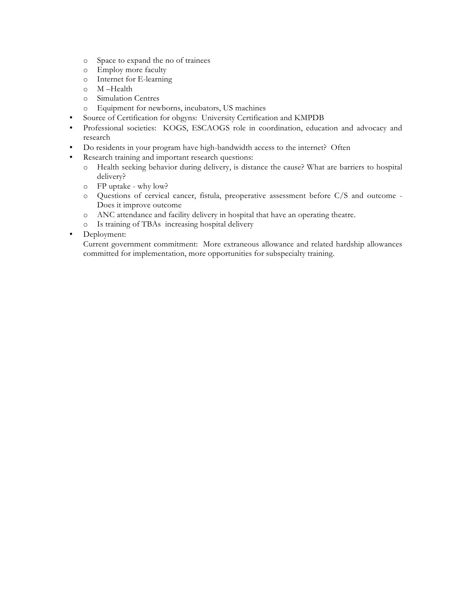- o Space to expand the no of trainees
- o Employ more faculty
- o Internet for E-learning
- o M –Health
- o Simulation Centres
- o Equipment for newborns, incubators, US machines
- Source of Certification for obgyns: University Certification and KMPDB
- Professional societies: KOGS, ESCAOGS role in coordination, education and advocacy and research
- Do residents in your program have high-bandwidth access to the internet? Often
- Research training and important research questions:
	- o Health seeking behavior during delivery, is distance the cause? What are barriers to hospital delivery?
	- o FP uptake why low?
	- o Questions of cervical cancer, fistula, preoperative assessment before C/S and outcome Does it improve outcome
	- o ANC attendance and facility delivery in hospital that have an operating theatre.
	- o Is training of TBAs increasing hospital delivery
- Deployment:

Current government commitment: More extraneous allowance and related hardship allowances committed for implementation, more opportunities for subspecialty training.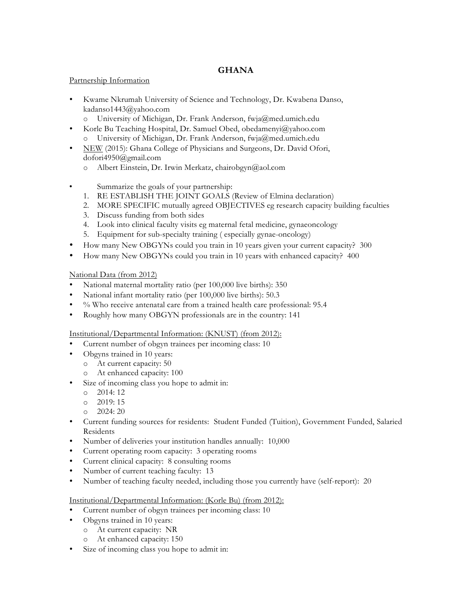## **GHANA**

#### Partnership Information

- Kwame Nkrumah University of Science and Technology, Dr. Kwabena Danso, kadanso1443@yahoo.com
	- o University of Michigan, Dr. Frank Anderson, fwja@med.umich.edu
- Korle Bu Teaching Hospital, Dr. Samuel Obed, obedamenyi@yahoo.com o University of Michigan, Dr. Frank Anderson, fwja@med.umich.edu
- NEW (2015): Ghana College of Physicians and Surgeons, Dr. David Ofori, dofori4950@gmail.com
	- o Albert Einstein, Dr. Irwin Merkatz, chairobgyn@aol.com
- Summarize the goals of your partnership:
	- 1. RE ESTABLISH THE JOINT GOALS (Review of Elmina declaration)
	- 2. MORE SPECIFIC mutually agreed OBJECTIVES eg research capacity building faculties
	- 3. Discuss funding from both sides
	- 4. Look into clinical faculty visits eg maternal fetal medicine, gynaeoncology
	- 5. Equipment for sub-specialty training ( especially gynae-oncology)
- How many New OBGYNs could you train in 10 years given your current capacity? 300
- How many New OBGYNs could you train in 10 years with enhanced capacity? 400

### National Data (from 2012)

- National maternal mortality ratio (per 100,000 live births): 350
- National infant mortality ratio (per 100,000 live births): 50.3
- % Who receive antenatal care from a trained health care professional: 95.4
- Roughly how many OBGYN professionals are in the country: 141
- Institutional/Departmental Information: (KNUST) (from 2012):
- Current number of obgyn trainees per incoming class: 10
- Obgyns trained in 10 years:
	- o At current capacity: 50
	- o At enhanced capacity: 100
- Size of incoming class you hope to admit in:
	- o 2014: 12
	- o 2019: 15
	- o 2024: 20
- Current funding sources for residents: Student Funded (Tuition), Government Funded, Salaried Residents
- Number of deliveries your institution handles annually: 10,000
- Current operating room capacity: 3 operating rooms
- Current clinical capacity: 8 consulting rooms
- Number of current teaching faculty: 13
- Number of teaching faculty needed, including those you currently have (self-report): 20

#### Institutional/Departmental Information: (Korle Bu) (from 2012):

- Current number of obgyn trainees per incoming class: 10
- Obgyns trained in 10 years:
	- o At current capacity: NR
	- o At enhanced capacity: 150
- Size of incoming class you hope to admit in: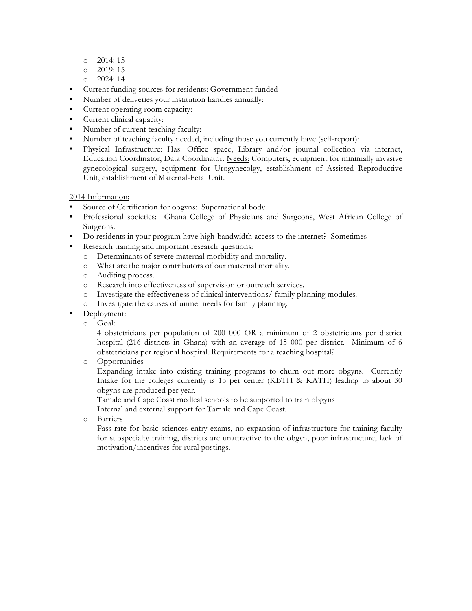- o 2014: 15
- o 2019: 15
- $O = 2024:14$
- Current funding sources for residents: Government funded
- Number of deliveries your institution handles annually:
- Current operating room capacity:
- Current clinical capacity:
- Number of current teaching faculty:
- Number of teaching faculty needed, including those you currently have (self-report):
- Physical Infrastructure: Has: Office space, Library and/or journal collection via internet, Education Coordinator, Data Coordinator. Needs: Computers, equipment for minimally invasive gynecological surgery, equipment for Urogynecolgy, establishment of Assisted Reproductive Unit, establishment of Maternal-Fetal Unit.

- Source of Certification for obgyns: Supernational body.
- Professional societies: Ghana College of Physicians and Surgeons, West African College of Surgeons.
- Do residents in your program have high-bandwidth access to the internet? Sometimes
- Research training and important research questions:
	- o Determinants of severe maternal morbidity and mortality.
	- o What are the major contributors of our maternal mortality.
	- o Auditing process.
	- o Research into effectiveness of supervision or outreach services.
	- o Investigate the effectiveness of clinical interventions/ family planning modules.
	- o Investigate the causes of unmet needs for family planning.
- Deployment:
	- o Goal:

4 obstetricians per population of 200 000 OR a minimum of 2 obstetricians per district hospital (216 districts in Ghana) with an average of 15 000 per district. Minimum of 6 obstetricians per regional hospital. Requirements for a teaching hospital?

o Opportunities

Expanding intake into existing training programs to churn out more obgyns. Currently Intake for the colleges currently is 15 per center (KBTH & KATH) leading to about 30 obgyns are produced per year.

Tamale and Cape Coast medical schools to be supported to train obgyns

Internal and external support for Tamale and Cape Coast.

o Barriers

Pass rate for basic sciences entry exams, no expansion of infrastructure for training faculty for subspecialty training, districts are unattractive to the obgyn, poor infrastructure, lack of motivation/incentives for rural postings.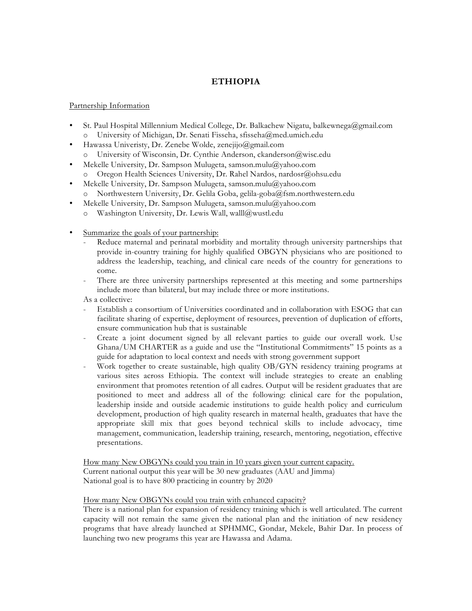## **ETHIOPIA**

#### Partnership Information

- St. Paul Hospital Millennium Medical College, Dr. Balkachew Nigatu, balkewnega@gmail.com o University of Michigan, Dr. Senati Fisseha, sfisseha@med.umich.edu
- Hawassa Univeristy, Dr. Zenebe Wolde, zenejijo@gmail.com
	- o University of Wisconsin, Dr. Cynthie Anderson, ckanderson@wisc.edu
- Mekelle University, Dr. Sampson Mulugeta, samson.mulu@yahoo.com o Oregon Health Sciences University, Dr. Rahel Nardos, nardosr@ohsu.edu
- Mekelle University, Dr. Sampson Mulugeta, samson.mulu@yahoo.com o Northwestern University, Dr. Gelila Goba, gelila-goba@fsm.northwestern.edu
- Mekelle University, Dr. Sampson Mulugeta, samson.mulu@yahoo.com
	- o Washington University, Dr. Lewis Wall, walll@wustl.edu
- Summarize the goals of your partnership:
	- Reduce maternal and perinatal morbidity and mortality through university partnerships that provide in-country training for highly qualified OBGYN physicians who are positioned to address the leadership, teaching, and clinical care needs of the country for generations to come.
	- There are three university partnerships represented at this meeting and some partnerships include more than bilateral, but may include three or more institutions.

As a collective:

- Establish a consortium of Universities coordinated and in collaboration with ESOG that can facilitate sharing of expertise, deployment of resources, prevention of duplication of efforts, ensure communication hub that is sustainable
- Create a joint document signed by all relevant parties to guide our overall work. Use Ghana/UM CHARTER as a guide and use the "Institutional Commitments" 15 points as a guide for adaptation to local context and needs with strong government support
- Work together to create sustainable, high quality OB/GYN residency training programs at various sites across Ethiopia. The context will include strategies to create an enabling environment that promotes retention of all cadres. Output will be resident graduates that are positioned to meet and address all of the following: clinical care for the population, leadership inside and outside academic institutions to guide health policy and curriculum development, production of high quality research in maternal health, graduates that have the appropriate skill mix that goes beyond technical skills to include advocacy, time management, communication, leadership training, research, mentoring, negotiation, effective presentations.

How many New OBGYNs could you train in 10 years given your current capacity. Current national output this year will be 30 new graduates (AAU and Jimma) National goal is to have 800 practicing in country by 2020

#### How many New OBGYNs could you train with enhanced capacity?

There is a national plan for expansion of residency training which is well articulated. The current capacity will not remain the same given the national plan and the initiation of new residency programs that have already launched at SPHMMC, Gondar, Mekele, Bahir Dar. In process of launching two new programs this year are Hawassa and Adama.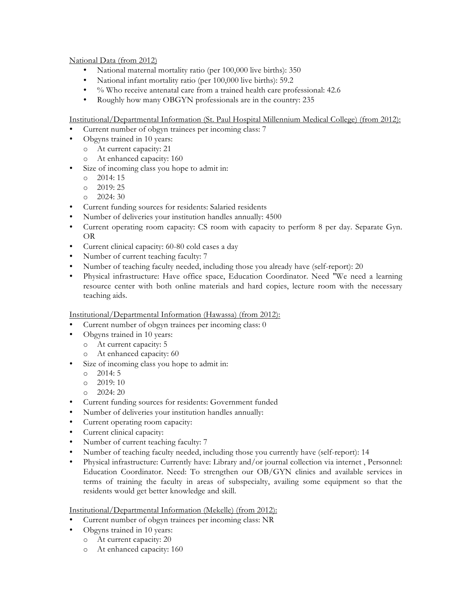#### National Data (from 2012)

- National maternal mortality ratio (per 100,000 live births): 350
- National infant mortality ratio (per 100,000 live births): 59.2
- % Who receive antenatal care from a trained health care professional: 42.6
- Roughly how many OBGYN professionals are in the country: 235

Institutional/Departmental Information (St. Paul Hospital Millennium Medical College) (from 2012):

- Current number of obgyn trainees per incoming class: 7
- Obgyns trained in 10 years:
	- o At current capacity: 21
	- o At enhanced capacity: 160
- Size of incoming class you hope to admit in:
	- o 2014: 15
	- o 2019: 25
	- o 2024: 30
- Current funding sources for residents: Salaried residents
- Number of deliveries your institution handles annually: 4500
- Current operating room capacity: CS room with capacity to perform 8 per day. Separate Gyn. OR
- Current clinical capacity: 60-80 cold cases a day
- Number of current teaching faculty: 7
- Number of teaching faculty needed, including those you already have (self-report): 20
- Physical infrastructure: Have office space, Education Coordinator. Need "We need a learning resource center with both online materials and hard copies, lecture room with the necessary teaching aids.

## Institutional/Departmental Information (Hawassa) (from 2012):

- Current number of obgyn trainees per incoming class: 0
- Obgyns trained in 10 years:
	- o At current capacity: 5
	- o At enhanced capacity: 60
- Size of incoming class you hope to admit in:
	- o 2014: 5
	- o 2019: 10
	- o 2024: 20
- Current funding sources for residents: Government funded
- Number of deliveries your institution handles annually:
- Current operating room capacity:
- Current clinical capacity:
- Number of current teaching faculty: 7
- Number of teaching faculty needed, including those you currently have (self-report): 14
- Physical infrastructure: Currently have: Library and/or journal collection via internet , Personnel: Education Coordinator. Need: To strengthen our OB/GYN clinics and available services in terms of training the faculty in areas of subspecialty, availing some equipment so that the residents would get better knowledge and skill.

#### Institutional/Departmental Information (Mekelle) (from 2012):

- Current number of obgyn trainees per incoming class: NR
- Obgyns trained in 10 years:
	- o At current capacity: 20
	- o At enhanced capacity: 160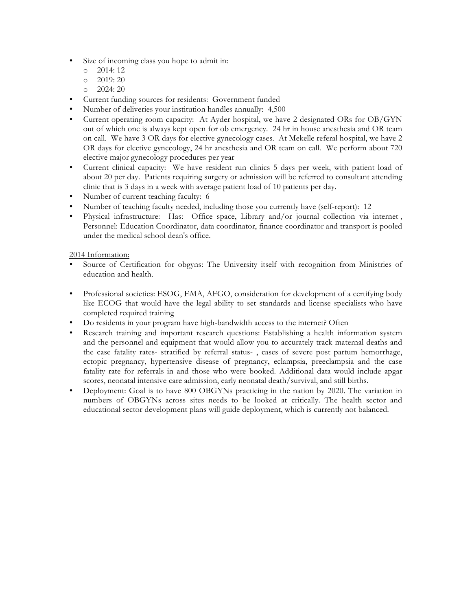- Size of incoming class you hope to admit in:
	- o 2014: 12
	- $o$  2019: 20
	- o 2024: 20
- Current funding sources for residents: Government funded
- Number of deliveries your institution handles annually: 4,500
- Current operating room capacity: At Ayder hospital, we have 2 designated ORs for OB/GYN out of which one is always kept open for ob emergency. 24 hr in house anesthesia and OR team on call. We have 3 OR days for elective gynecology cases. At Mekelle referal hospital, we have 2 OR days for elective gynecology, 24 hr anesthesia and OR team on call. We perform about 720 elective major gynecology procedures per year
- Current clinical capacity: We have resident run clinics 5 days per week, with patient load of about 20 per day. Patients requiring surgery or admission will be referred to consultant attending clinic that is 3 days in a week with average patient load of 10 patients per day.
- Number of current teaching faculty: 6
- Number of teaching faculty needed, including those you currently have (self-report): 12
- Physical infrastructure: Has: Office space, Library and/or journal collection via internet, Personnel: Education Coordinator, data coordinator, finance coordinator and transport is pooled under the medical school dean's office.

- Source of Certification for obgyns: The University itself with recognition from Ministries of education and health.
- Professional societies: ESOG, EMA, AFGO, consideration for development of a certifying body like ECOG that would have the legal ability to set standards and license specialists who have completed required training
- Do residents in your program have high-bandwidth access to the internet? Often
- Research training and important research questions: Establishing a health information system and the personnel and equipment that would allow you to accurately track maternal deaths and the case fatality rates- stratified by referral status- , cases of severe post partum hemorrhage, ectopic pregnancy, hypertensive disease of pregnancy, eclampsia, preeclampsia and the case fatality rate for referrals in and those who were booked. Additional data would include apgar scores, neonatal intensive care admission, early neonatal death/survival, and still births.
- Deployment: Goal is to have 800 OBGYNs practicing in the nation by 2020. The variation in numbers of OBGYNs across sites needs to be looked at critically. The health sector and educational sector development plans will guide deployment, which is currently not balanced.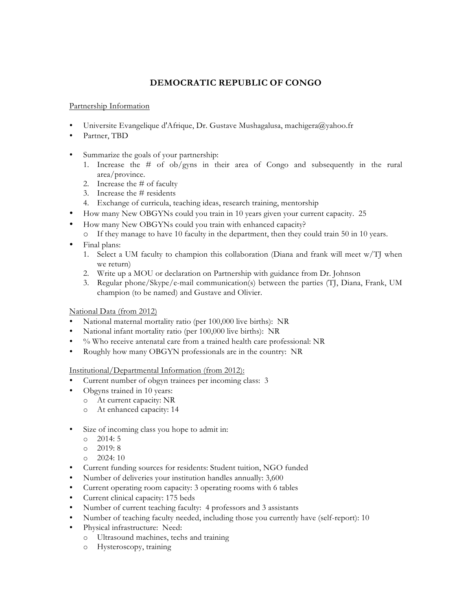# **DEMOCRATIC REPUBLIC OF CONGO**

#### Partnership Information

- Universite Evangelique d'Afrique, Dr. Gustave Mushagalusa, machigera@yahoo.fr
- Partner, TBD
- Summarize the goals of your partnership:
	- 1. Increase the # of ob/gyns in their area of Congo and subsequently in the rural area/province.
	- 2. Increase the # of faculty
	- 3. Increase the # residents
	- 4. Exchange of curricula, teaching ideas, research training, mentorship
	- How many New OBGYNs could you train in 10 years given your current capacity. 25
- How many New OBGYNs could you train with enhanced capacity?
	- o If they manage to have 10 faculty in the department, then they could train 50 in 10 years.
- Final plans:
	- 1. Select a UM faculty to champion this collaboration (Diana and frank will meet w/TJ when we return)
	- 2. Write up a MOU or declaration on Partnership with guidance from Dr. Johnson
	- 3. Regular phone/Skype/e-mail communication(s) between the parties (TJ, Diana, Frank, UM champion (to be named) and Gustave and Olivier.

#### National Data (from 2012)

- National maternal mortality ratio (per 100,000 live births): NR
- National infant mortality ratio (per 100,000 live births): NR
- % Who receive antenatal care from a trained health care professional: NR
- Roughly how many OBGYN professionals are in the country: NR

Institutional/Departmental Information (from 2012):

- Current number of obgyn trainees per incoming class: 3
- Obgyns trained in 10 years:
	- o At current capacity: NR
	- o At enhanced capacity: 14
- Size of incoming class you hope to admit in:
	- o 2014: 5
	- o 2019: 8
	- o 2024: 10
- Current funding sources for residents: Student tuition, NGO funded
- Number of deliveries your institution handles annually: 3,600
- Current operating room capacity: 3 operating rooms with 6 tables
- Current clinical capacity: 175 beds
- Number of current teaching faculty: 4 professors and 3 assistants
- Number of teaching faculty needed, including those you currently have (self-report): 10
- Physical infrastructure: Need:
	- o Ultrasound machines, techs and training
	- o Hysteroscopy, training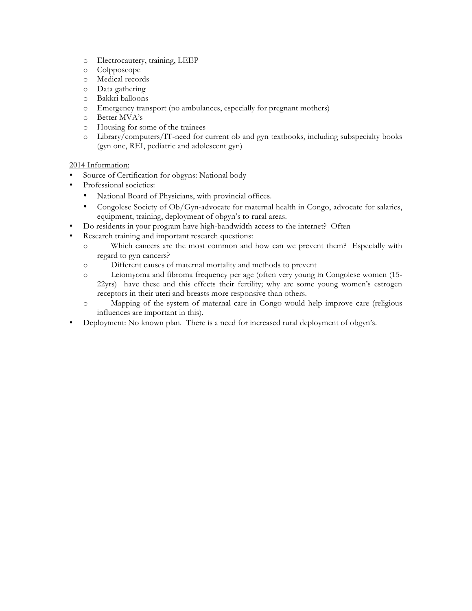- o Electrocautery, training, LEEP
- o Colpposcope
- o Medical records
- o Data gathering
- o Bakkri balloons
- o Emergency transport (no ambulances, especially for pregnant mothers)
- o Better MVA's
- o Housing for some of the trainees
- o Library/computers/IT-need for current ob and gyn textbooks, including subspecialty books (gyn onc, REI, pediatric and adolescent gyn)

- Source of Certification for obgyns: National body
- Professional societies:
	- National Board of Physicians, with provincial offices.
	- Congolese Society of Ob/Gyn-advocate for maternal health in Congo, advocate for salaries, equipment, training, deployment of obgyn's to rural areas.
- Do residents in your program have high-bandwidth access to the internet? Often
- Research training and important research questions:
	- o Which cancers are the most common and how can we prevent them? Especially with regard to gyn cancers?
	- o Different causes of maternal mortality and methods to prevent
	- o Leiomyoma and fibroma frequency per age (often very young in Congolese women (15- 22yrs) have these and this effects their fertility; why are some young women's estrogen receptors in their uteri and breasts more responsive than others.
	- o Mapping of the system of maternal care in Congo would help improve care (religious influences are important in this).
- Deployment: No known plan. There is a need for increased rural deployment of obgyn's.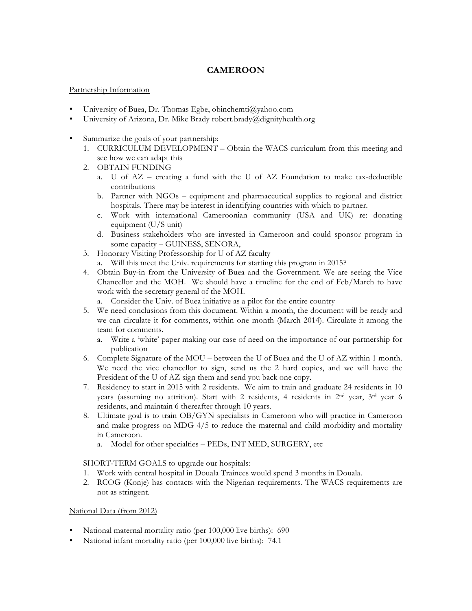## **CAMEROON**

#### Partnership Information

- University of Buea, Dr. Thomas Egbe, obinchemti@yahoo.com
- University of Arizona, Dr. Mike Brady robert.brady@dignityhealth.org
- Summarize the goals of your partnership:
	- 1. CURRICULUM DEVELOPMENT Obtain the WACS curriculum from this meeting and see how we can adapt this
	- 2. OBTAIN FUNDING
		- a. U of AZ creating a fund with the U of AZ Foundation to make tax-deductible contributions
		- b. Partner with NGOs equipment and pharmaceutical supplies to regional and district hospitals. There may be interest in identifying countries with which to partner.
		- c. Work with international Cameroonian community (USA and UK) re: donating equipment (U/S unit)
		- d. Business stakeholders who are invested in Cameroon and could sponsor program in some capacity – GUINESS, SENORA,
	- 3. Honorary Visiting Professorship for U of AZ faculty
		- a. Will this meet the Univ. requirements for starting this program in 2015?
	- 4. Obtain Buy-in from the University of Buea and the Government. We are seeing the Vice Chancellor and the MOH. We should have a timeline for the end of Feb/March to have work with the secretary general of the MOH.
		- a. Consider the Univ. of Buea initiative as a pilot for the entire country
	- 5. We need conclusions from this document. Within a month, the document will be ready and we can circulate it for comments, within one month (March 2014). Circulate it among the team for comments.
		- a. Write a 'white' paper making our case of need on the importance of our partnership for publication
	- 6. Complete Signature of the MOU between the U of Buea and the U of AZ within 1 month. We need the vice chancellor to sign, send us the 2 hard copies, and we will have the President of the U of AZ sign them and send you back one copy.
	- 7. Residency to start in 2015 with 2 residents. We aim to train and graduate 24 residents in 10 years (assuming no attrition). Start with 2 residents, 4 residents in 2nd year, 3rd year 6 residents, and maintain 6 thereafter through 10 years.
	- 8. Ultimate goal is to train OB/GYN specialists in Cameroon who will practice in Cameroon and make progress on MDG 4/5 to reduce the maternal and child morbidity and mortality in Cameroon.
		- a. Model for other specialties PEDs, INT MED, SURGERY, etc

SHORT-TERM GOALS to upgrade our hospitals:

- 1. Work with central hospital in Douala Trainees would spend 3 months in Douala.
- 2. RCOG (Konje) has contacts with the Nigerian requirements. The WACS requirements are not as stringent.

#### National Data (from 2012)

- National maternal mortality ratio (per 100,000 live births): 690
- National infant mortality ratio (per 100,000 live births): 74.1